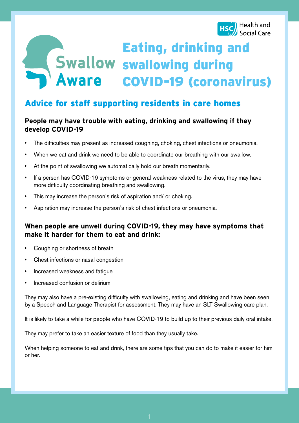

# Eating, drinking and swallowing during COVID-19 (coronavirus)

# Advice for staff supporting residents in care homes

# **People may have trouble with eating, drinking and swallowing if they develop COVID-19**

- The difficulties may present as increased coughing, choking, chest infections or pneumonia.
- When we eat and drink we need to be able to coordinate our breathing with our swallow.
- At the point of swallowing we automatically hold our breath momentarily.
- If a person has COVID-19 symptoms or general weakness related to the virus, they may have more difficulty coordinating breathing and swallowing.
- This may increase the person's risk of aspiration and/ or choking.
- Aspiration may increase the person's risk of chest infections or pneumonia.

# **When people are unwell during COVID-19, they may have symptoms that make it harder for them to eat and drink:**

- Coughing or shortness of breath
- Chest infections or nasal congestion
- Increased weakness and fatigue
- Increased confusion or delirium

They may also have a pre-existing difficulty with swallowing, eating and drinking and have been seen by a Speech and Language Therapist for assessment. They may have an SLT Swallowing care plan.

It is likely to take a while for people who have COVID-19 to build up to their previous daily oral intake.

They may prefer to take an easier texture of food than they usually take.

When helping someone to eat and drink, there are some tips that you can do to make it easier for him or her.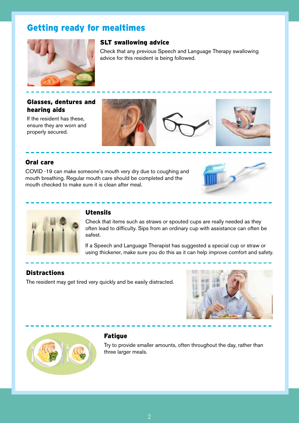# Getting ready for mealtimes



#### SLT swallowing advice

Check that any previous Speech and Language Therapy swallowing advice for this resident is being followed.

#### Glasses, dentures and hearing aids

If the resident has these, ensure they are worn and properly secured.







#### Oral care

COVID -19 can make someone's mouth very dry due to coughing and mouth breathing. Regular mouth care should be completed and the mouth checked to make sure it is clean after meal.





# Utensils

Check that items such as straws or spouted cups are really needed as they often lead to difficulty. Sips from an ordinary cup with assistance can often be safest.

If a Speech and Language Therapist has suggested a special cup or straw or using thickener, make sure you do this as it can help improve comfort and safety.

## **Distractions**

The resident may get tired very quickly and be easily distracted.





## **Fatique**

Try to provide smaller amounts, often throughout the day, rather than three larger meals.

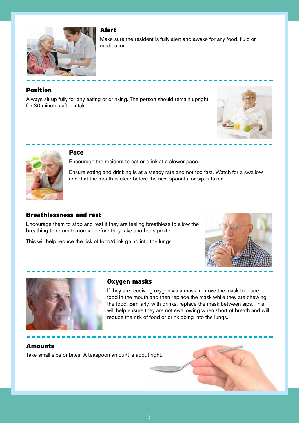

# Alert

Make sure the resident is fully alert and awake for any food, fluid or medication.

## Position

Always sit up fully for any eating or drinking. The person should remain upright for 30 minutes after intake.





#### Pace

Encourage the resident to eat or drink at a slower pace.

Ensure eating and drinking is at a steady rate and not too fast. Watch for a swallow and that the mouth is clear before the next spoonful or sip is taken.

#### Breathlessness and rest

Encourage them to stop and rest if they are feeling breathless to allow the breathing to return to normal before they take another sip/bite.

This will help reduce the risk of food/drink going into the lungs.





#### Oxygen masks

If they are receiving oxygen via a mask, remove the mask to place food in the mouth and then replace the mask while they are chewing the food. Similarly, with drinks, replace the mask between sips. This will help ensure they are not swallowing when short of breath and will reduce the risk of food or drink going into the lungs.

#### Amounts

Take small sips or bites. A teaspoon amount is about right.